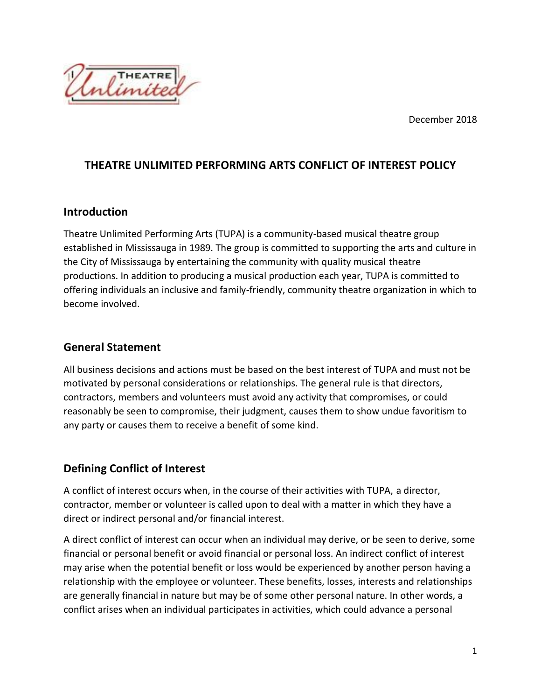December 2018



## **THEATRE UNLIMITED PERFORMING ARTS CONFLICT OF INTEREST POLICY**

#### **Introduction**

Theatre Unlimited Performing Arts (TUPA) is a community-based musical theatre group established in Mississauga in 1989. The group is committed to supporting the arts and culture in the City of Mississauga by entertaining the community with quality musical theatre productions. In addition to producing a musical production each year, TUPA is committed to offering individuals an inclusive and family-friendly, community theatre organization in which to become involved.

### **General Statement**

All business decisions and actions must be based on the best interest of TUPA and must not be motivated by personal considerations or relationships. The general rule is that directors, contractors, members and volunteers must avoid any activity that compromises, or could reasonably be seen to compromise, their judgment, causes them to show undue favoritism to any party or causes them to receive a benefit of some kind.

# **Defining Conflict of Interest**

A conflict of interest occurs when, in the course of their activities with TUPA, a director, contractor, member or volunteer is called upon to deal with a matter in which they have a direct or indirect personal and/or financial interest.

A direct conflict of interest can occur when an individual may derive, or be seen to derive, some financial or personal benefit or avoid financial or personal loss. An indirect conflict of interest may arise when the potential benefit or loss would be experienced by another person having a relationship with the employee or volunteer. These benefits, losses, interests and relationships are generally financial in nature but may be of some other personal nature. In other words, a conflict arises when an individual participates in activities, which could advance a personal